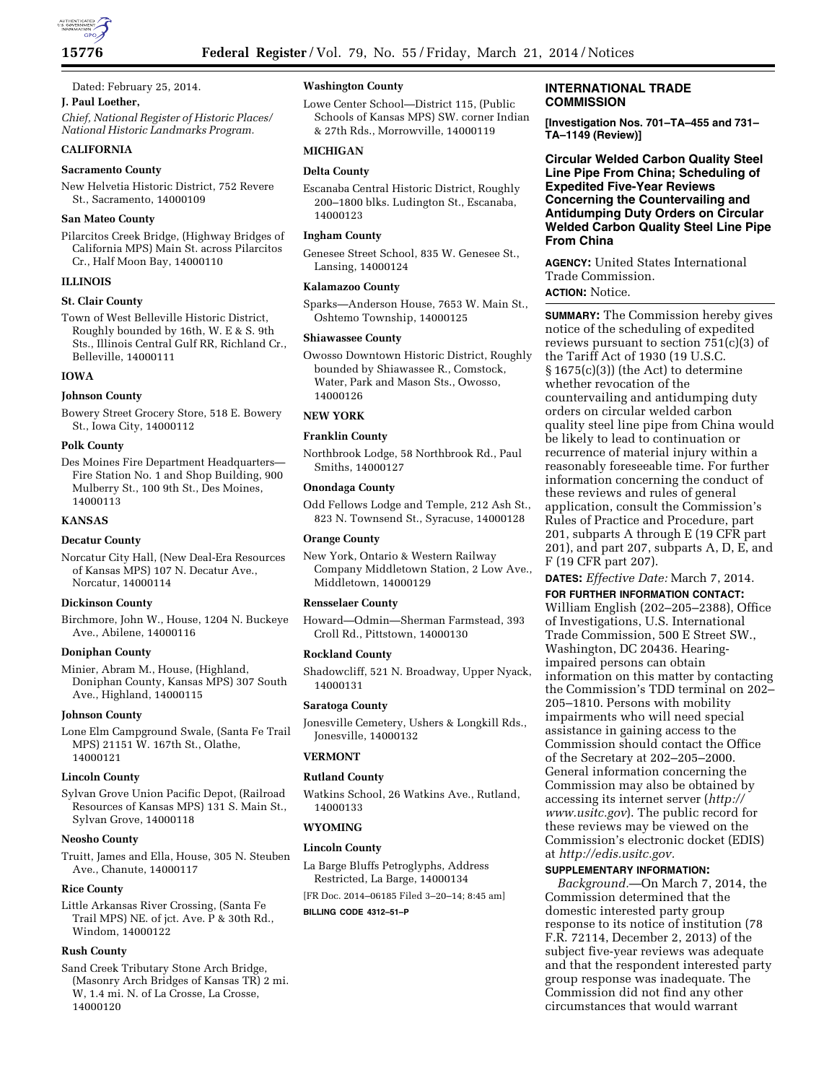

Dated: February 25, 2014.

# **J. Paul Loether,**

*Chief, National Register of Historic Places/ National Historic Landmarks Program.* 

# **CALIFORNIA**

### **Sacramento County**

New Helvetia Historic District, 752 Revere St., Sacramento, 14000109

# **San Mateo County**

Pilarcitos Creek Bridge, (Highway Bridges of California MPS) Main St. across Pilarcitos Cr., Half Moon Bay, 14000110

# **ILLINOIS**

# **St. Clair County**

Town of West Belleville Historic District, Roughly bounded by 16th, W. E & S. 9th Sts., Illinois Central Gulf RR, Richland Cr., Belleville, 14000111

# **IOWA**

# **Johnson County**

Bowery Street Grocery Store, 518 E. Bowery St., Iowa City, 14000112

#### **Polk County**

Des Moines Fire Department Headquarters— Fire Station No. 1 and Shop Building, 900 Mulberry St., 100 9th St., Des Moines, 14000113

### **KANSAS**

# **Decatur County**

Norcatur City Hall, (New Deal-Era Resources of Kansas MPS) 107 N. Decatur Ave., Norcatur, 14000114

### **Dickinson County**

Birchmore, John W., House, 1204 N. Buckeye Ave., Abilene, 14000116

# **Doniphan County**

Minier, Abram M., House, (Highland, Doniphan County, Kansas MPS) 307 South Ave., Highland, 14000115

## **Johnson County**

Lone Elm Campground Swale, (Santa Fe Trail MPS) 21151 W. 167th St., Olathe, 14000121

#### **Lincoln County**

Sylvan Grove Union Pacific Depot, (Railroad Resources of Kansas MPS) 131 S. Main St., Sylvan Grove, 14000118

#### **Neosho County**

Truitt, James and Ella, House, 305 N. Steuben Ave., Chanute, 14000117

#### **Rice County**

Little Arkansas River Crossing, (Santa Fe Trail MPS) NE. of jct. Ave. P & 30th Rd., Windom, 14000122

## **Rush County**

Sand Creek Tributary Stone Arch Bridge, (Masonry Arch Bridges of Kansas TR) 2 mi. W, 1.4 mi. N. of La Crosse, La Crosse, 14000120

# **Washington County**

Lowe Center School—District 115, (Public Schools of Kansas MPS) SW. corner Indian & 27th Rds., Morrowville, 14000119

# **MICHIGAN**

# **Delta County**

Escanaba Central Historic District, Roughly 200–1800 blks. Ludington St., Escanaba, 14000123

#### **Ingham County**

Genesee Street School, 835 W. Genesee St., Lansing, 14000124

#### **Kalamazoo County**

Sparks—Anderson House, 7653 W. Main St., Oshtemo Township, 14000125

#### **Shiawassee County**

Owosso Downtown Historic District, Roughly bounded by Shiawassee R., Comstock, Water, Park and Mason Sts., Owosso, 14000126

# **NEW YORK**

# **Franklin County**

Northbrook Lodge, 58 Northbrook Rd., Paul Smiths, 14000127

# **Onondaga County**

Odd Fellows Lodge and Temple, 212 Ash St., 823 N. Townsend St., Syracuse, 14000128

# **Orange County**

New York, Ontario & Western Railway Company Middletown Station, 2 Low Ave., Middletown, 14000129

#### **Rensselaer County**

Howard—Odmin—Sherman Farmstead, 393 Croll Rd., Pittstown, 14000130

### **Rockland County**

Shadowcliff, 521 N. Broadway, Upper Nyack, 14000131

# **Saratoga County**

Jonesville Cemetery, Ushers & Longkill Rds., Jonesville, 14000132

# **VERMONT**

## **Rutland County**

Watkins School, 26 Watkins Ave., Rutland, 14000133

# **WYOMING**

# **Lincoln County**

La Barge Bluffs Petroglyphs, Address Restricted, La Barge, 14000134

[FR Doc. 2014–06185 Filed 3–20–14; 8:45 am]

#### **BILLING CODE 4312–51–P**

# **INTERNATIONAL TRADE COMMISSION**

**[Investigation Nos. 701–TA–455 and 731– TA–1149 (Review)]** 

**Circular Welded Carbon Quality Steel Line Pipe From China; Scheduling of Expedited Five-Year Reviews Concerning the Countervailing and Antidumping Duty Orders on Circular Welded Carbon Quality Steel Line Pipe From China** 

**AGENCY:** United States International Trade Commission. **ACTION:** Notice.

**SUMMARY:** The Commission hereby gives notice of the scheduling of expedited reviews pursuant to section 751(c)(3) of the Tariff Act of 1930 (19 U.S.C.  $§ 1675(c)(3))$  (the Act) to determine whether revocation of the countervailing and antidumping duty orders on circular welded carbon quality steel line pipe from China would be likely to lead to continuation or recurrence of material injury within a reasonably foreseeable time. For further information concerning the conduct of these reviews and rules of general application, consult the Commission's Rules of Practice and Procedure, part 201, subparts A through E (19 CFR part 201), and part 207, subparts A, D, E, and F (19 CFR part 207).

**DATES:** *Effective Date:* March 7, 2014.

**FOR FURTHER INFORMATION CONTACT:** 

William English (202–205–2388), Office of Investigations, U.S. International Trade Commission, 500 E Street SW., Washington, DC 20436. Hearingimpaired persons can obtain information on this matter by contacting the Commission's TDD terminal on 202– 205–1810. Persons with mobility impairments who will need special assistance in gaining access to the Commission should contact the Office of the Secretary at 202–205–2000. General information concerning the Commission may also be obtained by accessing its internet server (*[http://](http://www.usitc.gov) [www.usitc.gov](http://www.usitc.gov)*). The public record for these reviews may be viewed on the Commission's electronic docket (EDIS) at *[http://edis.usitc.gov.](http://edis.usitc.gov)* 

## **SUPPLEMENTARY INFORMATION:**

*Background.*—On March 7, 2014, the Commission determined that the domestic interested party group response to its notice of institution (78 F.R. 72114, December 2, 2013) of the subject five-year reviews was adequate and that the respondent interested party group response was inadequate. The Commission did not find any other circumstances that would warrant